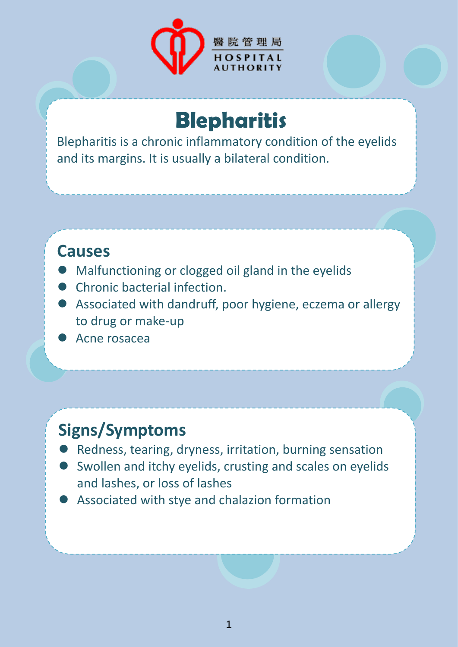

# **Blepharitis**

Blepharitis is a chronic inflammatory condition of the eyelids and its margins. It is usually a bilateral condition.

#### **Causes**

- Malfunctioning or clogged oil gland in the eyelids
- **Chronic bacterial infection.**
- Associated with dandruff, poor hygiene, eczema or allergy to drug or make-up
- Acne rosacea

## **Signs/Symptoms**

- Redness, tearing, dryness, irritation, burning sensation
- Swollen and itchy eyelids, crusting and scales on eyelids and lashes, or loss of lashes
- Associated with stye and chalazion formation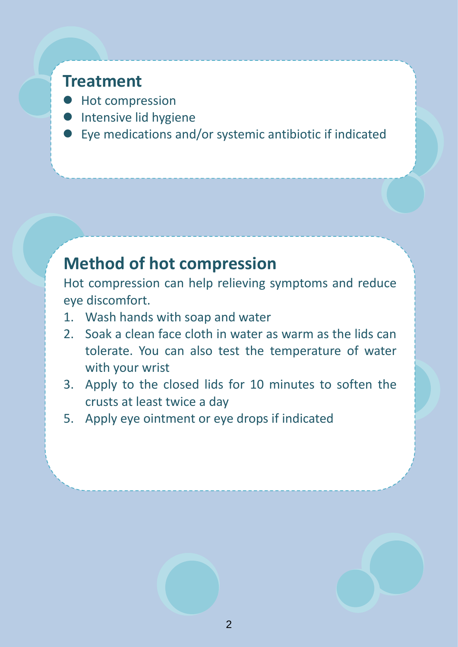#### **Treatment**

- **•** Hot compression
- **Intensive lid hygiene**
- Eye medications and/or systemic antibiotic if indicated

## **Method of hot compression**

Hot compression can help relieving symptoms and reduce eye discomfort.

- 1. Wash hands with soap and water
- 2. Soak a clean face cloth in water as warm as the lids can tolerate. You can also test the temperature of water with your wrist
- 3. Apply to the closed lids for 10 minutes to soften the crusts at least twice a day
- 5. Apply eye ointment or eye drops if indicated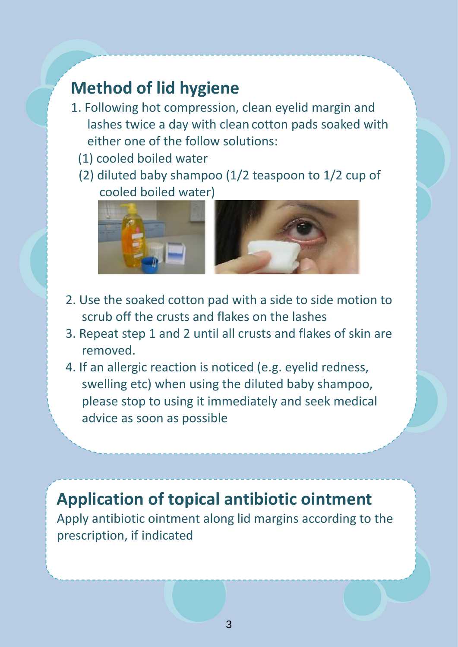## **Method of lid hygiene**

- 1. Following hot compression, clean eyelid margin and lashes twice a day with clean cotton pads soaked with either one of the follow solutions:
	- (1) cooled boiled water
	- (2) diluted baby shampoo (1/2 teaspoon to 1/2 cup of cooled boiled water)



- 2. Use the soaked cotton pad with a side to side motion to scrub off the crusts and flakes on the lashes
- 3. Repeat step 1 and 2 until all crusts and flakes of skin are removed.
- 4. If an allergic reaction is noticed (e.g. eyelid redness, swelling etc) when using the diluted baby shampoo, please stop to using it immediately and seek medical advice as soon as possible

## **Application of topical antibiotic ointment**

Apply antibiotic ointment along lid margins according to the prescription, if indicated